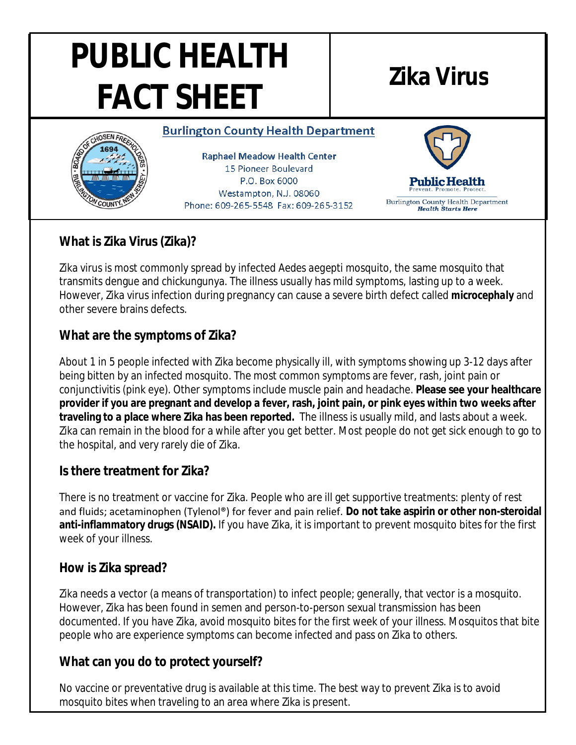# **PUBLIC HEALTH FACT SHEET Zika Virus**

#### **Burlington County Health Department**



**Raphael Meadow Health Center** 15 Pioneer Boulevard P.O. Box 6000 Westampton, N.J. 08060 Phone: 609-265-5548 Fax: 609-265-3152



Burlington County Health Department **Health Starts Here** 

## **What is Zika Virus (Zika)?**

Zika virus is most commonly spread by infected *Aedes aegepti* mosquito, the same mosquito that transmits dengue and chickungunya. The illness usually has mild symptoms, lasting up to a week. However, Zika virus infection during pregnancy can cause a severe birth defect called *microcephaly* and other severe brains defects.

#### **What are the symptoms of Zika?**

About 1 in 5 people infected with Zika become physically ill, with symptoms showing up 3-12 days after being bitten by an infected mosquito. The most common symptoms are fever, rash, joint pain or conjunctivitis (pink eye). Other symptoms include muscle pain and headache. **Please see your healthcare provider if you are pregnant and develop a fever, rash, joint pain, or pink eyes within two weeks after traveling to a place where Zika has been reported.** The illness is usually mild, and lasts about a week. Zika can remain in the blood for a while after you get better. Most people do not get sick enough to go to the hospital, and very rarely die of Zika.

#### **Is there treatment for Zika?**

There is no treatment or vaccine for Zika. People who are ill get supportive treatments: plenty of rest and fluids; acetaminophen (Tylenol®) for fever and pain relief. **Do not take aspirin or other non-steroidal anti-inflammatory drugs (NSAID).** If you have Zika, it is important to prevent mosquito bites for the first week of your illness.

#### **How is Zika spread?**

Zika needs a vector (a means of transportation) to infect people; generally, that vector is a mosquito. However, Zika has been found in semen and person-to-person sexual transmission has been documented. If you have Zika, avoid mosquito bites for the first week of your illness. Mosquitos that bite people who are experience symptoms can become infected and pass on Zika to others.

## **What can you do to protect yourself?**

No vaccine or preventative drug is available at this time. The best way to prevent Zika is to avoid mosquito bites when traveling to an area where Zika is present.